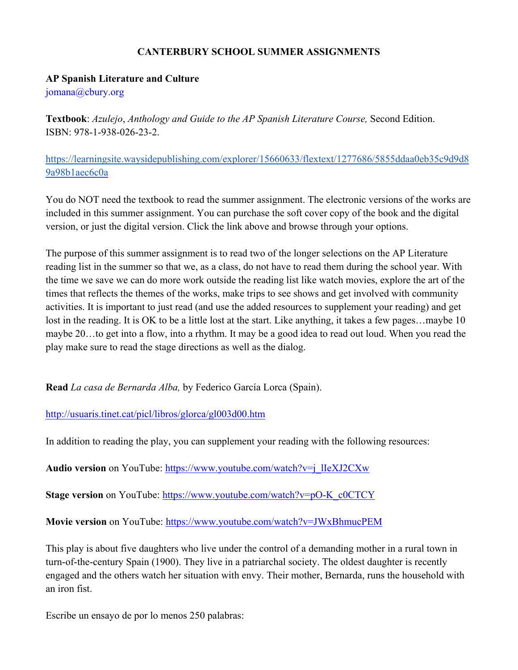## **CANTERBURY SCHOOL SUMMER ASSIGNMENTS**

## **AP Spanish Literature and Culture**

jomana@cbury.org

**Textbook**: *Azulejo*, *Anthology and Guide to the AP Spanish Literature Course,* Second Edition. ISBN: 978-1-938-026-23-2.

[https://learningsite.waysidepublishing.com/explorer/15660633/flextext/1277686/5855ddaa0eb35c9d9d8](https://learningsite.waysidepublishing.com/explorer/15660633/flextext/1277686/5855ddaa0eb35c9d9d89a98b1aec6c0a) [9a98b1aec6c0a](https://learningsite.waysidepublishing.com/explorer/15660633/flextext/1277686/5855ddaa0eb35c9d9d89a98b1aec6c0a) 

You do NOT need the textbook to read the summer assignment. The electronic versions of the works are included in this summer assignment. You can purchase the soft cover copy of the book and the digital version, or just the digital version. Click the link above and browse through your options.

The purpose of this summer assignment is to read two of the longer selections on the AP Literature reading list in the summer so that we, as a class, do not have to read them during the school year. With the time we save we can do more work outside the reading list like watch movies, explore the art of the times that reflects the themes of the works, make trips to see shows and get involved with community activities. It is important to just read (and use the added resources to supplement your reading) and get lost in the reading. It is OK to be a little lost at the start. Like anything, it takes a few pages...maybe 10 maybe 20…to get into a flow, into a rhythm. It may be a good idea to read out loud. When you read the play make sure to read the stage directions as well as the dialog.

**Read** *La casa de Bernarda Alba,* by Federico García Lorca (Spain).

<http://usuaris.tinet.cat/picl/libros/glorca/gl003d00.htm>

In addition to reading the play, you can supplement your reading with the following resources:

**Audio version** on YouTube: [https://www.youtube.com/watch?v=j\\_lIeXJ2CXw](https://www.youtube.com/watch?v=j_lIeXJ2CXw)

**Stage version** on YouTube[:](https://www.youtube.com/watch?v=pO-K_c0CTCY) [https://www.youtube.com/watch?v=pO-K\\_c0CTCY](https://www.youtube.com/watch?v=pO-K_c0CTCY)\_

**Movie version** on YouTube[:](https://www.youtube.com/watch?v=JWxBhmucPEM) <https://www.youtube.com/watch?v=JWxBhmucPEM>

This play is about five daughters who live under the control of a demanding mother in a rural town in turn-of-the-century Spain (1900). They live in a patriarchal society. The oldest daughter is recently engaged and the others watch her situation with envy. Their mother, Bernarda, runs the household with an iron fist.

Escribe un ensayo de por lo menos 250 palabras: